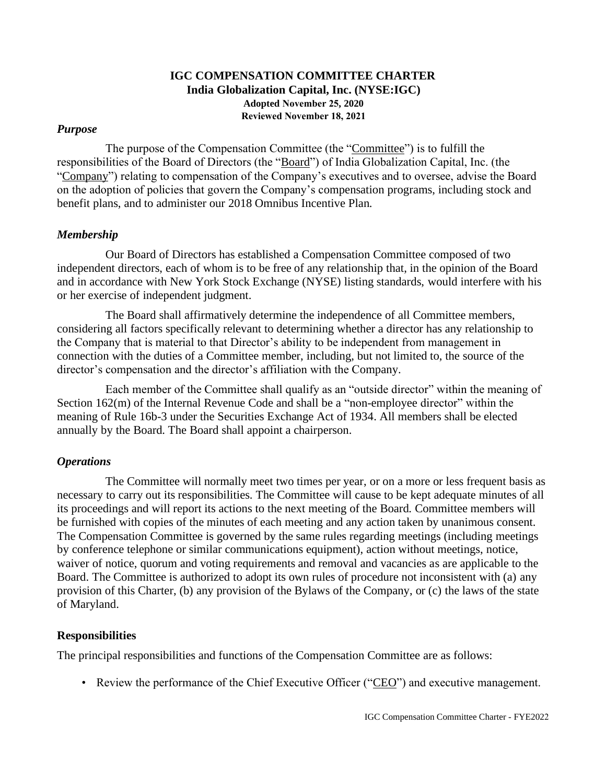# **IGC COMPENSATION COMMITTEE CHARTER India Globalization Capital, Inc. (NYSE:IGC) Adopted November 25, 2020 Reviewed November 18, 2021**

#### *Purpose*

The purpose of the Compensation Committee (the "Committee") is to fulfill the responsibilities of the Board of Directors (the "Board") of India Globalization Capital, Inc. (the "Company") relating to compensation of the Company's executives and to oversee, advise the Board on the adoption of policies that govern the Company's compensation programs, including stock and benefit plans, and to administer our 2018 Omnibus Incentive Plan.

### *Membership*

Our Board of Directors has established a Compensation Committee composed of two independent directors, each of whom is to be free of any relationship that, in the opinion of the Board and in accordance with New York Stock Exchange (NYSE) listing standards, would interfere with his or her exercise of independent judgment.

The Board shall affirmatively determine the independence of all Committee members, considering all factors specifically relevant to determining whether a director has any relationship to the Company that is material to that Director's ability to be independent from management in connection with the duties of a Committee member, including, but not limited to, the source of the director's compensation and the director's affiliation with the Company.

Each member of the Committee shall qualify as an "outside director" within the meaning of Section 162(m) of the Internal Revenue Code and shall be a "non-employee director" within the meaning of Rule 16b-3 under the Securities Exchange Act of 1934. All members shall be elected annually by the Board. The Board shall appoint a chairperson.

### *Operations*

The Committee will normally meet two times per year, or on a more or less frequent basis as necessary to carry out its responsibilities. The Committee will cause to be kept adequate minutes of all its proceedings and will report its actions to the next meeting of the Board. Committee members will be furnished with copies of the minutes of each meeting and any action taken by unanimous consent. The Compensation Committee is governed by the same rules regarding meetings (including meetings by conference telephone or similar communications equipment), action without meetings, notice, waiver of notice, quorum and voting requirements and removal and vacancies as are applicable to the Board. The Committee is authorized to adopt its own rules of procedure not inconsistent with (a) any provision of this Charter, (b) any provision of the Bylaws of the Company, or (c) the laws of the state of Maryland.

#### **Responsibilities**

The principal responsibilities and functions of the Compensation Committee are as follows:

• Review the performance of the Chief Executive Officer ("CEO") and executive management.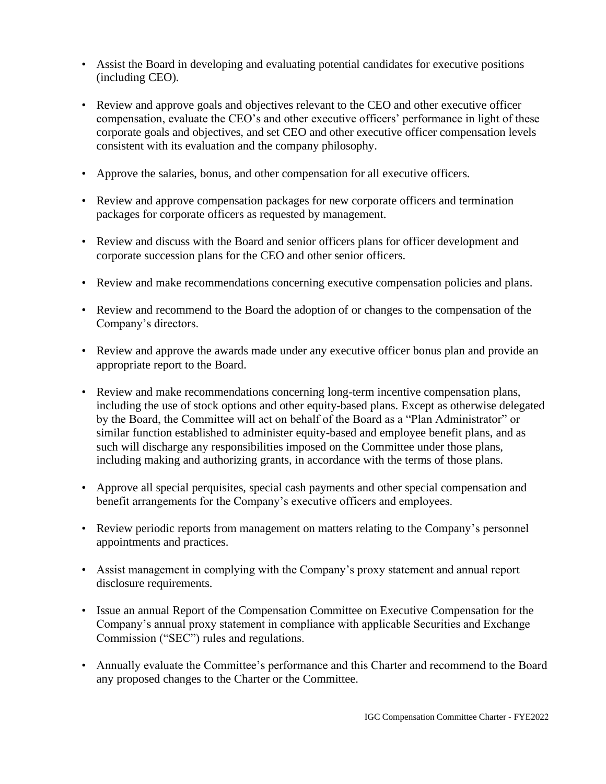- Assist the Board in developing and evaluating potential candidates for executive positions (including CEO).
- Review and approve goals and objectives relevant to the CEO and other executive officer compensation, evaluate the CEO's and other executive officers' performance in light of these corporate goals and objectives, and set CEO and other executive officer compensation levels consistent with its evaluation and the company philosophy.
- Approve the salaries, bonus, and other compensation for all executive officers.
- Review and approve compensation packages for new corporate officers and termination packages for corporate officers as requested by management.
- Review and discuss with the Board and senior officers plans for officer development and corporate succession plans for the CEO and other senior officers.
- Review and make recommendations concerning executive compensation policies and plans.
- Review and recommend to the Board the adoption of or changes to the compensation of the Company's directors.
- Review and approve the awards made under any executive officer bonus plan and provide an appropriate report to the Board.
- Review and make recommendations concerning long-term incentive compensation plans, including the use of stock options and other equity-based plans. Except as otherwise delegated by the Board, the Committee will act on behalf of the Board as a "Plan Administrator" or similar function established to administer equity-based and employee benefit plans, and as such will discharge any responsibilities imposed on the Committee under those plans, including making and authorizing grants, in accordance with the terms of those plans.
- Approve all special perquisites, special cash payments and other special compensation and benefit arrangements for the Company's executive officers and employees.
- Review periodic reports from management on matters relating to the Company's personnel appointments and practices.
- Assist management in complying with the Company's proxy statement and annual report disclosure requirements.
- Issue an annual Report of the Compensation Committee on Executive Compensation for the Company's annual proxy statement in compliance with applicable Securities and Exchange Commission ("SEC") rules and regulations.
- Annually evaluate the Committee's performance and this Charter and recommend to the Board any proposed changes to the Charter or the Committee.